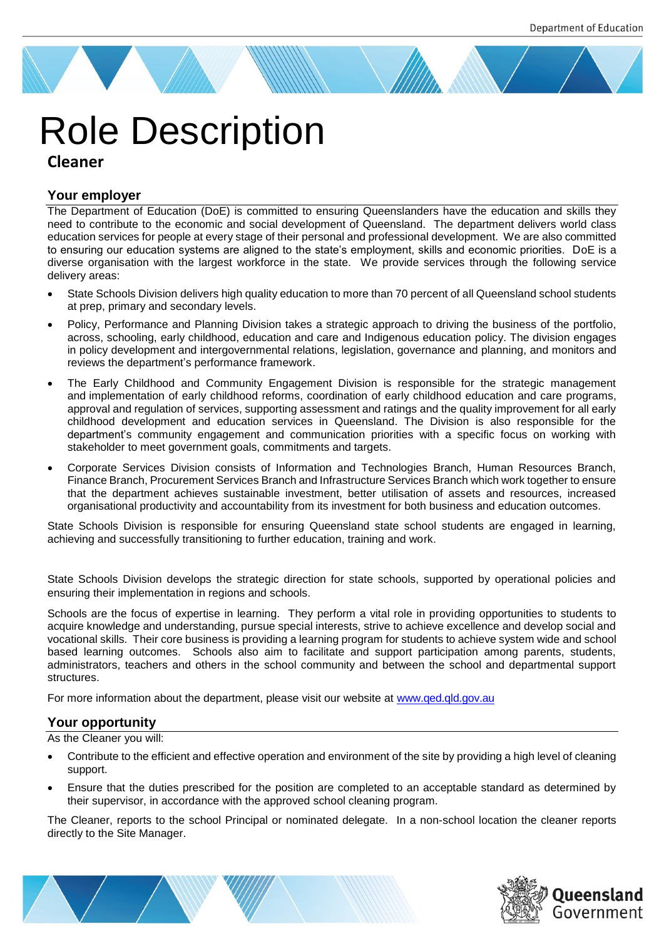# **Cleaner** Role Description

# **Your employer**

The Department of Education (DoE) is committed to ensuring Queenslanders have the education and skills they need to contribute to the economic and social development of Queensland. The department delivers world class education services for people at every stage of their personal and professional development. We are also committed to ensuring our education systems are aligned to the state's employment, skills and economic priorities. DoE is a diverse organisation with the largest workforce in the state. We provide services through the following service delivery areas:

- State Schools Division delivers high quality education to more than 70 percent of all Queensland school students at prep, primary and secondary levels.
- Policy, Performance and Planning Division takes a strategic approach to driving the business of the portfolio, across, schooling, early childhood, education and care and Indigenous education policy. The division engages in policy development and intergovernmental relations, legislation, governance and planning, and monitors and reviews the department's performance framework.
- The Early Childhood and Community Engagement Division is responsible for the strategic management and implementation of early childhood reforms, coordination of early childhood education and care programs, approval and regulation of services, supporting assessment and ratings and the quality improvement for all early childhood development and education services in Queensland. The Division is also responsible for the department's community engagement and communication priorities with a specific focus on working with stakeholder to meet government goals, commitments and targets.
- Corporate Services Division consists of Information and Technologies Branch, Human Resources Branch, Finance Branch, Procurement Services Branch and Infrastructure Services Branch which work together to ensure that the department achieves sustainable investment, better utilisation of assets and resources, increased organisational productivity and accountability from its investment for both business and education outcomes.

State Schools Division is responsible for ensuring Queensland state school students are engaged in learning, achieving and successfully transitioning to further education, training and work.

State Schools Division develops the strategic direction for state schools, supported by operational policies and ensuring their implementation in regions and schools.

Schools are the focus of expertise in learning. They perform a vital role in providing opportunities to students to acquire knowledge and understanding, pursue special interests, strive to achieve excellence and develop social and vocational skills. Their core business is providing a learning program for students to achieve system wide and school based learning outcomes. Schools also aim to facilitate and support participation among parents, students, administrators, teachers and others in the school community and between the school and departmental support structures.

For more information about the department, please visit our website at [www.qed.qld.gov.au](http://www.qed.qld.gov.au/)

#### **Your opportunity**

As the Cleaner you will:

- Contribute to the efficient and effective operation and environment of the site by providing a high level of cleaning support.
- Ensure that the duties prescribed for the position are completed to an acceptable standard as determined by their supervisor, in accordance with the approved school cleaning program.

The Cleaner, reports to the school Principal or nominated delegate. In a non-school location the cleaner reports directly to the Site Manager.



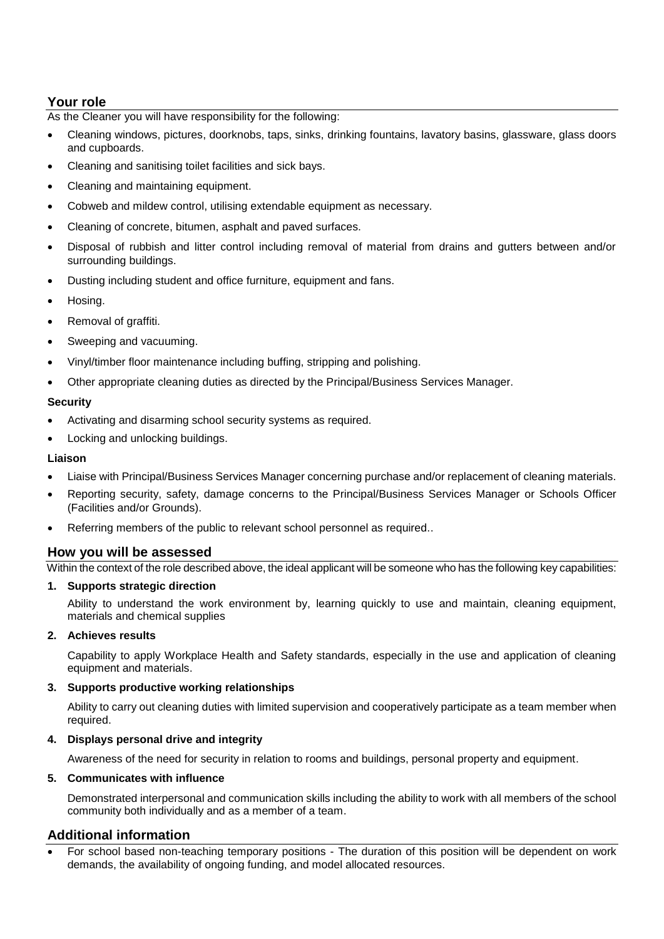# **Your role**

As the Cleaner you will have responsibility for the following:

- Cleaning windows, pictures, doorknobs, taps, sinks, drinking fountains, lavatory basins, glassware, glass doors and cupboards.
- Cleaning and sanitising toilet facilities and sick bays.
- Cleaning and maintaining equipment.
- Cobweb and mildew control, utilising extendable equipment as necessary.
- Cleaning of concrete, bitumen, asphalt and paved surfaces.
- Disposal of rubbish and litter control including removal of material from drains and gutters between and/or surrounding buildings.
- Dusting including student and office furniture, equipment and fans.
- Hosing.
- Removal of graffiti.
- Sweeping and vacuuming.
- Vinyl/timber floor maintenance including buffing, stripping and polishing.
- Other appropriate cleaning duties as directed by the Principal/Business Services Manager.

#### **Security**

- Activating and disarming school security systems as required.
- Locking and unlocking buildings.

#### **Liaison**

- Liaise with Principal/Business Services Manager concerning purchase and/or replacement of cleaning materials.
- Reporting security, safety, damage concerns to the Principal/Business Services Manager or Schools Officer (Facilities and/or Grounds).
- Referring members of the public to relevant school personnel as required..

### **How you will be assessed**

Within the context of the role described above, the ideal applicant will be someone who has the following key capabilities:

#### **1. Supports strategic direction**

Ability to understand the work environment by, learning quickly to use and maintain, cleaning equipment, materials and chemical supplies

#### **2. Achieves results**

Capability to apply Workplace Health and Safety standards, especially in the use and application of cleaning equipment and materials.

#### **3. Supports productive working relationships**

Ability to carry out cleaning duties with limited supervision and cooperatively participate as a team member when required.

#### **4. Displays personal drive and integrity**

Awareness of the need for security in relation to rooms and buildings, personal property and equipment.

#### **5. Communicates with influence**

Demonstrated interpersonal and communication skills including the ability to work with all members of the school community both individually and as a member of a team.

## **Additional information**

 For school based non-teaching temporary positions - The duration of this position will be dependent on work demands, the availability of ongoing funding, and model allocated resources.